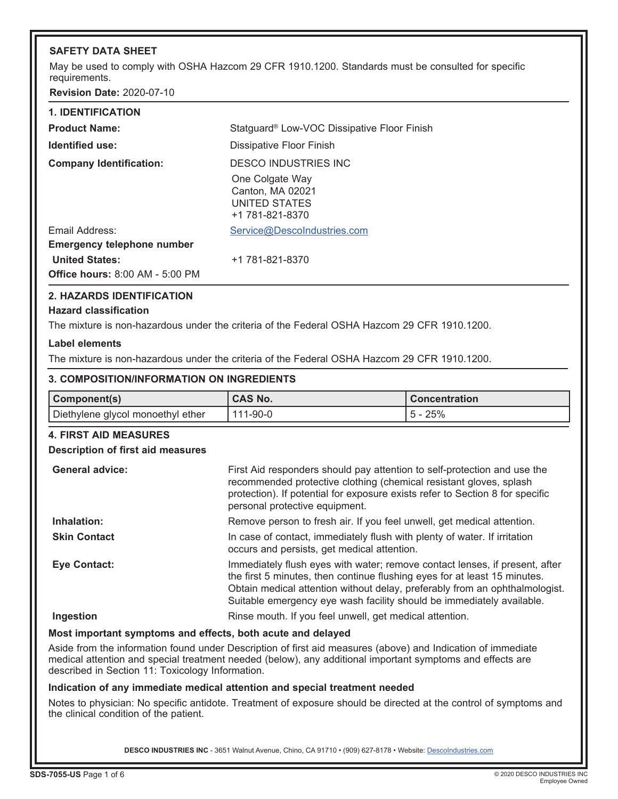## **SAFETY DATA SHEET**

May be used to comply with OSHA Hazcom 29 CFR 1910.1200. Standards must be consulted for specific requirements.

**Revision Date:** 2020-07-10

| <b>1. IDENTIFICATION</b>                                        |                                                                         |
|-----------------------------------------------------------------|-------------------------------------------------------------------------|
| <b>Product Name:</b>                                            | Statguard <sup>®</sup> Low-VOC Dissipative Floor Finish                 |
| Identified use:                                                 | Dissipative Floor Finish                                                |
| <b>Company Identification:</b>                                  | DESCO INDUSTRIES INC                                                    |
|                                                                 | One Colgate Way<br>Canton, MA 02021<br>UNITED STATES<br>+1 781-821-8370 |
| Email Address:                                                  | Service@DescoIndustries.com                                             |
| <b>Emergency telephone number</b>                               |                                                                         |
| <b>United States:</b><br><b>Office hours: 8:00 AM - 5:00 PM</b> | +1 781-821-8370                                                         |

## **2. HAZARDS IDENTIFICATION**

## **Hazard classification**

The mixture is non-hazardous under the criteria of the Federal OSHA Hazcom 29 CFR 1910.1200.

## **Label elements**

The mixture is non-hazardous under the criteria of the Federal OSHA Hazcom 29 CFR 1910.1200.

#### **3. COMPOSITION/INFORMATION ON INGREDIENTS**

| Component(s)                      | <b>CAS No.</b> | <b>Concentration</b> |
|-----------------------------------|----------------|----------------------|
| Diethylene glycol monoethyl ether | 111-90-0       | $5 - 25%$            |

## **4. FIRST AID MEASURES**

## **Description of first aid measures**

| <b>General advice:</b> | First Aid responders should pay attention to self-protection and use the<br>recommended protective clothing (chemical resistant gloves, splash<br>protection). If potential for exposure exists refer to Section 8 for specific<br>personal protective equipment.                                                |
|------------------------|------------------------------------------------------------------------------------------------------------------------------------------------------------------------------------------------------------------------------------------------------------------------------------------------------------------|
| Inhalation:            | Remove person to fresh air. If you feel unwell, get medical attention.                                                                                                                                                                                                                                           |
| <b>Skin Contact</b>    | In case of contact, immediately flush with plenty of water. If irritation<br>occurs and persists, get medical attention.                                                                                                                                                                                         |
| <b>Eye Contact:</b>    | Immediately flush eyes with water; remove contact lenses, if present, after<br>the first 5 minutes, then continue flushing eyes for at least 15 minutes.<br>Obtain medical attention without delay, preferably from an ophthalmologist.<br>Suitable emergency eye wash facility should be immediately available. |
| Ingestion              | Rinse mouth. If you feel unwell, get medical attention.                                                                                                                                                                                                                                                          |

## **Most important symptoms and effects, both acute and delayed**

Aside from the information found under Description of first aid measures (above) and Indication of immediate medical attention and special treatment needed (below), any additional important symptoms and effects are described in Section 11: Toxicology Information.

## **Indication of any immediate medical attention and special treatment needed**

Notes to physician: No specific antidote. Treatment of exposure should be directed at the control of symptoms and the clinical condition of the patient.

DESCO INDUSTRIES INC - 3651 Walnut Avenue, Chino, CA 91710 • (909) 627-8178 • Website: Descolndustries.com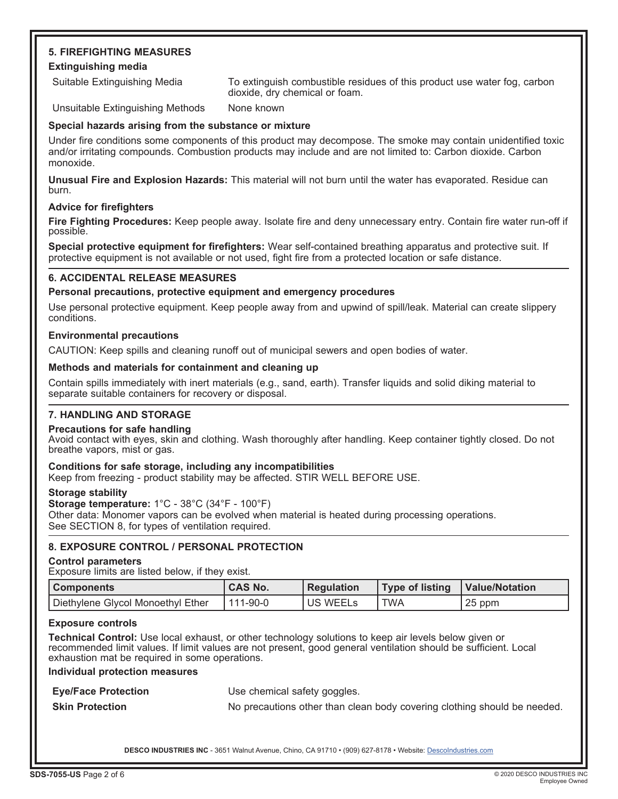## **5. FIREFIGHTING MEASURES Extinguishing media**

Suitable Extinguishing Media To extinguish combustible residues of this product use water fog, carbon dioxide, dry chemical or foam.

Unsuitable Extinguishing Methods None known

## **Special hazards arising from the substance or mixture**

Under fire conditions some components of this product may decompose. The smoke may contain unidentified toxic and/or irritating compounds. Combustion products may include and are not limited to: Carbon dioxide. Carbon monoxide.

**Unusual Fire and Explosion Hazards:** This material will not burn until the water has evaporated. Residue can burn.

## **Advice for firefighters**

**Fire Fighting Procedures:** Keep people away. Isolate fire and deny unnecessary entry. Contain fire water run-off if possible.

**Special protective equipment for firefighters:** Wear self-contained breathing apparatus and protective suit. If protective equipment is not available or not used, fight fire from a protected location or safe distance.

## **6. ACCIDENTAL RELEASE MEASURES**

## **Personal precautions, protective equipment and emergency procedures**

Use personal protective equipment. Keep people away from and upwind of spill/leak. Material can create slippery conditions.

## **Environmental precautions**

CAUTION: Keep spills and cleaning runoff out of municipal sewers and open bodies of water.

## **Methods and materials for containment and cleaning up**

Contain spills immediately with inert materials (e.g., sand, earth). Transfer liquids and solid diking material to separate suitable containers for recovery or disposal.

## **7. HANDLING AND STORAGE**

## **Precautions for safe handling**

Avoid contact with eyes, skin and clothing. Wash thoroughly after handling. Keep container tightly closed. Do not breathe vapors, mist or gas.

## **Conditions for safe storage, including any incompatibilities**

Keep from freezing - product stability may be affected. STIR WELL BEFORE USE.

## **Storage stability**

**Storage temperature:** 1°C - 38°C (34°F - 100°F) Other data: Monomer vapors can be evolved when material is heated during processing operations. See SECTION 8, for types of ventilation required.

## **8. EXPOSURE CONTROL / PERSONAL PROTECTION**

## **Control parameters**

Exposure limits are listed below, if they exist.

| l Components                      | <b>CAS No.</b> | <b>Requiation</b> | Type of listing | Value/Notation |
|-----------------------------------|----------------|-------------------|-----------------|----------------|
| Diethylene Glycol Monoethyl Ether | l 111-90-0     | <b>US WEELS</b>   | <b>TWA</b>      | 25 ppm         |

## **Exposure controls**

**Technical Control:** Use local exhaust, or other technology solutions to keep air levels below given or recommended limit values. If limit values are not present, good general ventilation should be sufficient. Local exhaustion mat be required in some operations.

## **Individual protection measures**

**Eye/Face Protection** Use chemical safety goggles.

**Skin Protection** No precautions other than clean body covering clothing should be needed.

DESCO INDUSTRIES INC - 3651 Walnut Avenue, Chino, CA 91710 · (909) 627-8178 · Website: [DescoIndustries.com](http://www.descoindustries.com)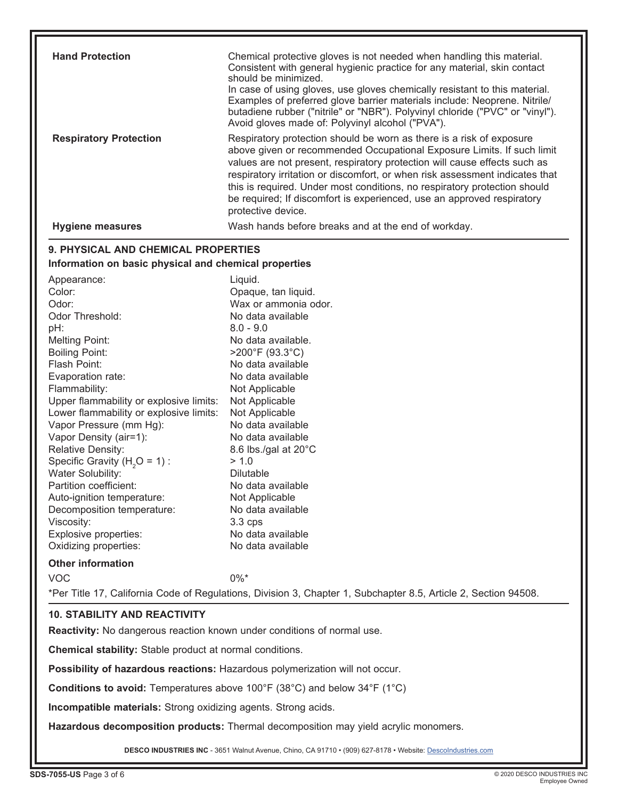| <b>Hand Protection</b>                                                         | Chemical protective gloves is not needed when handling this material.<br>Consistent with general hygienic practice for any material, skin contact<br>should be minimized. |
|--------------------------------------------------------------------------------|---------------------------------------------------------------------------------------------------------------------------------------------------------------------------|
|                                                                                | In case of using gloves, use gloves chemically resistant to this material.                                                                                                |
|                                                                                | Examples of preferred glove barrier materials include: Neoprene. Nitrile/                                                                                                 |
|                                                                                | butadiene rubber ("nitrile" or "NBR"). Polyvinyl chloride ("PVC" or "vinyl").<br>Avoid gloves made of: Polyvinyl alcohol ("PVA").                                         |
| <b>Respiratory Protection</b>                                                  | Respiratory protection should be worn as there is a risk of exposure                                                                                                      |
|                                                                                | above given or recommended Occupational Exposure Limits. If such limit                                                                                                    |
|                                                                                | values are not present, respiratory protection will cause effects such as                                                                                                 |
|                                                                                | respiratory irritation or discomfort, or when risk assessment indicates that                                                                                              |
|                                                                                | this is required. Under most conditions, no respiratory protection should                                                                                                 |
|                                                                                | be required; If discomfort is experienced, use an approved respiratory<br>protective device.                                                                              |
| <b>Hygiene measures</b>                                                        | Wash hands before breaks and at the end of workday.                                                                                                                       |
|                                                                                |                                                                                                                                                                           |
| 9. PHYSICAL AND CHEMICAL PROPERTIES                                            |                                                                                                                                                                           |
| Information on basic physical and chemical properties                          |                                                                                                                                                                           |
| Appearance:                                                                    | Liquid.                                                                                                                                                                   |
| Color:                                                                         | Opaque, tan liquid.                                                                                                                                                       |
| Odor:                                                                          | Wax or ammonia odor.                                                                                                                                                      |
| Odor Threshold:                                                                | No data available                                                                                                                                                         |
| pH:                                                                            | $8.0 - 9.0$                                                                                                                                                               |
| <b>Melting Point:</b>                                                          | No data available.                                                                                                                                                        |
| <b>Boiling Point:</b>                                                          | $>200^{\circ}$ F (93.3 $^{\circ}$ C)                                                                                                                                      |
| Flash Point:                                                                   | No data available<br>No data available                                                                                                                                    |
| Evaporation rate:<br>Flammability:                                             | Not Applicable                                                                                                                                                            |
| Upper flammability or explosive limits:                                        | Not Applicable                                                                                                                                                            |
| Lower flammability or explosive limits:                                        | Not Applicable                                                                                                                                                            |
| Vapor Pressure (mm Hg):                                                        | No data available                                                                                                                                                         |
| Vapor Density (air=1):                                                         | No data available                                                                                                                                                         |
| Relative Density:                                                              | 8.6 lbs./gal at 20°C                                                                                                                                                      |
| Specific Gravity ( $H2O = 1$ ) :                                               | > 1.0                                                                                                                                                                     |
| Water Solubility:                                                              | <b>Dilutable</b>                                                                                                                                                          |
| Partition coefficient:                                                         | No data available                                                                                                                                                         |
| Auto-ignition temperature:                                                     | Not Applicable                                                                                                                                                            |
| Decomposition temperature:                                                     | No data available                                                                                                                                                         |
| Viscosity:                                                                     | $3.3$ cps                                                                                                                                                                 |
| Explosive properties:                                                          | No data available                                                                                                                                                         |
| Oxidizing properties:                                                          | No data available                                                                                                                                                         |
| <b>Other information</b>                                                       |                                                                                                                                                                           |
| <b>VOC</b>                                                                     | $0\%$ *                                                                                                                                                                   |
|                                                                                | *Per Title 17, California Code of Regulations, Division 3, Chapter 1, Subchapter 8.5, Article 2, Section 94508.                                                           |
| <b>10. STABILITY AND REACTIVITY</b>                                            |                                                                                                                                                                           |
| <b>Reactivity:</b> No dangerous reaction known under conditions of normal use. |                                                                                                                                                                           |
| <b>Chemical stability:</b> Stable product at normal conditions.                |                                                                                                                                                                           |
|                                                                                | Possibility of hazardous reactions: Hazardous polymerization will not occur.                                                                                              |

**Conditions to avoid:** Temperatures above 100°F (38°C) and below 34°F (1°C)

**Incompatible materials:** Strong oxidizing agents. Strong acids.

**Hazardous decomposition products:** Thermal decomposition may yield acrylic monomers.

DESCO INDUSTRIES INC - 3651 Walnut Avenue, Chino, CA 91710 · (909) 627-8178 · Website: Descolndustries.com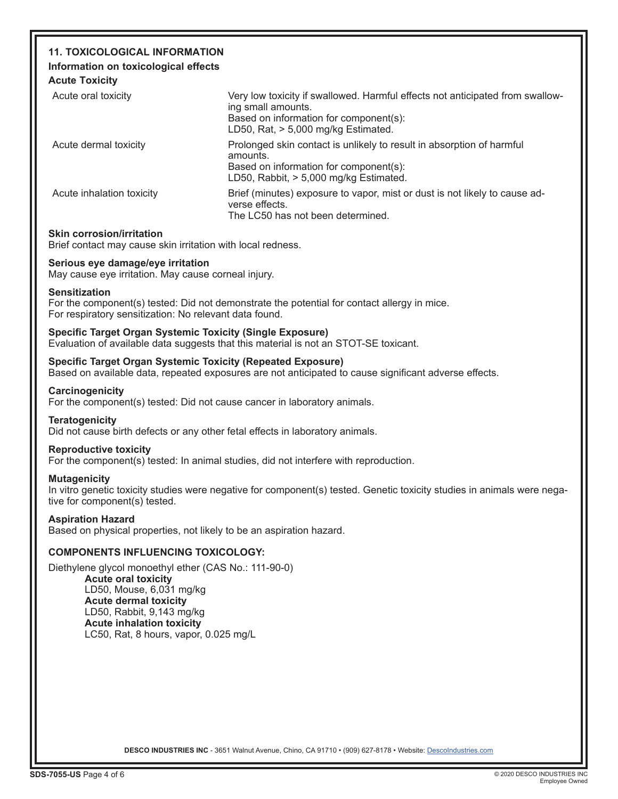# **11. TOXICOLOGICAL INFORMATION**

## **Information on toxicological effects**

**Acute Toxicity**

| Very low toxicity if swallowed. Harmful effects not anticipated from swallow-<br>ing small amounts.<br>Based on information for component(s):<br>LD50, Rat, $> 5,000$ mg/kg Estimated. |
|----------------------------------------------------------------------------------------------------------------------------------------------------------------------------------------|
| Prolonged skin contact is unlikely to result in absorption of harmful<br>amounts.<br>Based on information for component(s):<br>LD50, Rabbit, > 5,000 mg/kg Estimated.                  |
| Brief (minutes) exposure to vapor, mist or dust is not likely to cause ad-<br>verse effects.<br>The LC50 has not been determined.                                                      |
|                                                                                                                                                                                        |

## **Skin corrosion/irritation**

Brief contact may cause skin irritation with local redness.

## **Serious eye damage/eye irritation**

May cause eye irritation. May cause corneal injury.

## **Sensitization**

For the component(s) tested: Did not demonstrate the potential for contact allergy in mice. For respiratory sensitization: No relevant data found.

## **Specific Target Organ Systemic Toxicity (Single Exposure)**

Evaluation of available data suggests that this material is not an STOT-SE toxicant.

## **Specific Target Organ Systemic Toxicity (Repeated Exposure)**

Based on available data, repeated exposures are not anticipated to cause significant adverse effects.

## **Carcinogenicity**

For the component(s) tested: Did not cause cancer in laboratory animals.

## **Teratogenicity**

Did not cause birth defects or any other fetal effects in laboratory animals.

## **Reproductive toxicity**

For the component(s) tested: In animal studies, did not interfere with reproduction.

## **Mutagenicity**

In vitro genetic toxicity studies were negative for component(s) tested. Genetic toxicity studies in animals were negative for component(s) tested.

## **Aspiration Hazard**

Based on physical properties, not likely to be an aspiration hazard.

## **COMPONENTS INFLUENCING TOXICOLOGY:**

Diethylene glycol monoethyl ether (CAS No.: 111-90-0) **Acute oral toxicity** LD50, Mouse, 6,031 mg/kg **Acute dermal toxicity**  LD50, Rabbit, 9,143 mg/kg **Acute inhalation toxicity** LC50, Rat, 8 hours, vapor, 0.025 mg/L

DESCO INDUSTRIES INC - 3651 Walnut Avenue, Chino, CA 91710 • (909) 627-8178 • Website: Descolndustries.com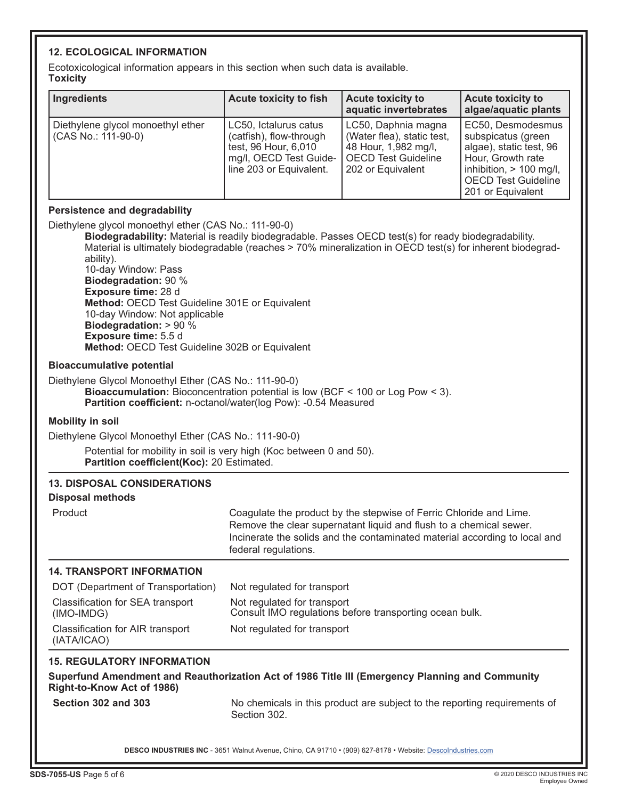## **12. ECOLOGICAL INFORMATION**

Ecotoxicological information appears in this section when such data is available. **Toxicity**

| i vaivity                                                                                                                                                                                                                                                                                                                                                                                                                                                                                                                                                    |                                                                                                                                                                                                                                                |                                                                                                                              |                                                                                                                                                                       |
|--------------------------------------------------------------------------------------------------------------------------------------------------------------------------------------------------------------------------------------------------------------------------------------------------------------------------------------------------------------------------------------------------------------------------------------------------------------------------------------------------------------------------------------------------------------|------------------------------------------------------------------------------------------------------------------------------------------------------------------------------------------------------------------------------------------------|------------------------------------------------------------------------------------------------------------------------------|-----------------------------------------------------------------------------------------------------------------------------------------------------------------------|
| <b>Ingredients</b>                                                                                                                                                                                                                                                                                                                                                                                                                                                                                                                                           | <b>Acute toxicity to fish</b>                                                                                                                                                                                                                  | <b>Acute toxicity to</b><br>aquatic invertebrates                                                                            | <b>Acute toxicity to</b><br>algae/aquatic plants                                                                                                                      |
| Diethylene glycol monoethyl ether<br>(CAS No.: 111-90-0)                                                                                                                                                                                                                                                                                                                                                                                                                                                                                                     | LC50, Ictalurus catus<br>(catfish), flow-through<br>test, 96 Hour, 6,010<br>mg/l, OECD Test Guide-<br>line 203 or Equivalent.                                                                                                                  | LC50, Daphnia magna<br>(Water flea), static test,<br>48 Hour, 1,982 mg/l,<br><b>OECD Test Guideline</b><br>202 or Equivalent | EC50, Desmodesmus<br>subspicatus (green<br>algae), static test, 96<br>Hour, Growth rate<br>inhibition, > 100 mg/l,<br><b>OECD Test Guideline</b><br>201 or Equivalent |
| <b>Persistence and degradability</b>                                                                                                                                                                                                                                                                                                                                                                                                                                                                                                                         |                                                                                                                                                                                                                                                |                                                                                                                              |                                                                                                                                                                       |
| Diethylene glycol monoethyl ether (CAS No.: 111-90-0)<br>Biodegradability: Material is readily biodegradable. Passes OECD test(s) for ready biodegradability.<br>Material is ultimately biodegradable (reaches > 70% mineralization in OECD test(s) for inherent biodegrad-<br>ability).<br>10-day Window: Pass<br><b>Biodegradation: 90 %</b><br>Exposure time: 28 d<br>Method: OECD Test Guideline 301E or Equivalent<br>10-day Window: Not applicable<br>Biodegradation: > 90 %<br>Exposure time: 5.5 d<br>Method: OECD Test Guideline 302B or Equivalent |                                                                                                                                                                                                                                                |                                                                                                                              |                                                                                                                                                                       |
| <b>Bioaccumulative potential</b>                                                                                                                                                                                                                                                                                                                                                                                                                                                                                                                             |                                                                                                                                                                                                                                                |                                                                                                                              |                                                                                                                                                                       |
| Diethylene Glycol Monoethyl Ether (CAS No.: 111-90-0)<br>Bioaccumulation: Bioconcentration potential is low (BCF < 100 or Log Pow < 3).<br>Partition coefficient: n-octanol/water(log Pow): -0.54 Measured                                                                                                                                                                                                                                                                                                                                                   |                                                                                                                                                                                                                                                |                                                                                                                              |                                                                                                                                                                       |
| <b>Mobility in soil</b>                                                                                                                                                                                                                                                                                                                                                                                                                                                                                                                                      |                                                                                                                                                                                                                                                |                                                                                                                              |                                                                                                                                                                       |
| Diethylene Glycol Monoethyl Ether (CAS No.: 111-90-0)                                                                                                                                                                                                                                                                                                                                                                                                                                                                                                        |                                                                                                                                                                                                                                                |                                                                                                                              |                                                                                                                                                                       |
| Potential for mobility in soil is very high (Koc between 0 and 50).<br>Partition coefficient(Koc): 20 Estimated.                                                                                                                                                                                                                                                                                                                                                                                                                                             |                                                                                                                                                                                                                                                |                                                                                                                              |                                                                                                                                                                       |
| <b>13. DISPOSAL CONSIDERATIONS</b>                                                                                                                                                                                                                                                                                                                                                                                                                                                                                                                           |                                                                                                                                                                                                                                                |                                                                                                                              |                                                                                                                                                                       |
| <b>Disposal methods</b>                                                                                                                                                                                                                                                                                                                                                                                                                                                                                                                                      |                                                                                                                                                                                                                                                |                                                                                                                              |                                                                                                                                                                       |
| Product                                                                                                                                                                                                                                                                                                                                                                                                                                                                                                                                                      | Coagulate the product by the stepwise of Ferric Chloride and Lime.<br>Remove the clear supernatant liquid and flush to a chemical sewer.<br>Incinerate the solids and the contaminated material according to local and<br>federal regulations. |                                                                                                                              |                                                                                                                                                                       |
| <b>14. TRANSPORT INFORMATION</b>                                                                                                                                                                                                                                                                                                                                                                                                                                                                                                                             |                                                                                                                                                                                                                                                |                                                                                                                              |                                                                                                                                                                       |
| DOT (Department of Transportation)                                                                                                                                                                                                                                                                                                                                                                                                                                                                                                                           | Not regulated for transport                                                                                                                                                                                                                    |                                                                                                                              |                                                                                                                                                                       |
| Classification for SEA transport<br>(IMO-IMDG)                                                                                                                                                                                                                                                                                                                                                                                                                                                                                                               | Not regulated for transport<br>Consult IMO regulations before transporting ocean bulk.                                                                                                                                                         |                                                                                                                              |                                                                                                                                                                       |
| Classification for AIR transport<br>(IATA/ICAO)                                                                                                                                                                                                                                                                                                                                                                                                                                                                                                              | Not regulated for transport                                                                                                                                                                                                                    |                                                                                                                              |                                                                                                                                                                       |
| <b>15. REGULATORY INFORMATION</b>                                                                                                                                                                                                                                                                                                                                                                                                                                                                                                                            |                                                                                                                                                                                                                                                |                                                                                                                              |                                                                                                                                                                       |
| Superfund Amendment and Reauthorization Act of 1986 Title III (Emergency Planning and Community<br>Right-to-Know Act of 1986)                                                                                                                                                                                                                                                                                                                                                                                                                                |                                                                                                                                                                                                                                                |                                                                                                                              |                                                                                                                                                                       |
| Section 302 and 303                                                                                                                                                                                                                                                                                                                                                                                                                                                                                                                                          | Section 302.                                                                                                                                                                                                                                   | No chemicals in this product are subject to the reporting requirements of                                                    |                                                                                                                                                                       |

DESCO INDUSTRIES INC - 3651 Walnut Avenue, Chino, CA 91710 · (909) 627-8178 · Website: [DescoIndustries.com](http://www.descoindustries.com)